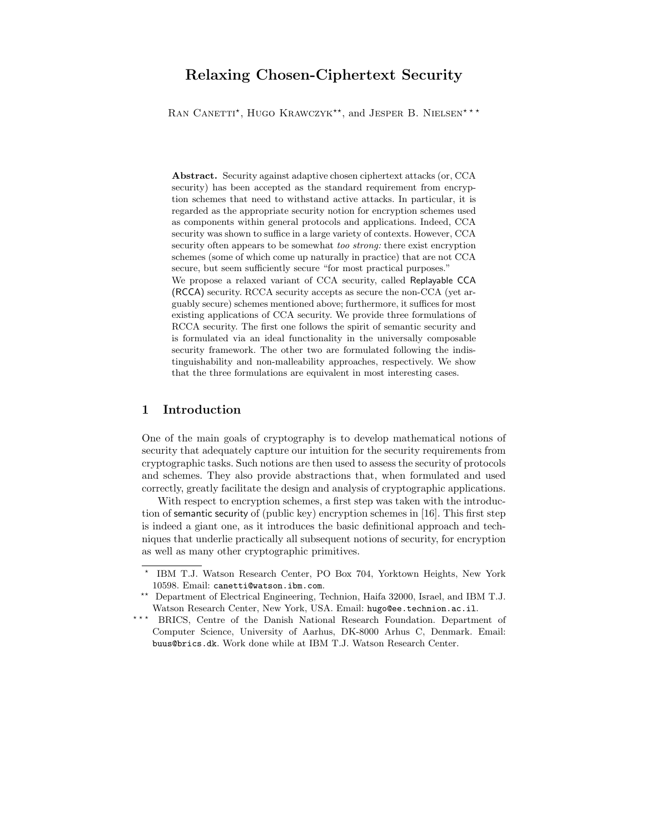# Relaxing Chosen-Ciphertext Security

RAN CANETTI<sup>\*</sup>, HUGO KRAWCZYK<sup>\*\*</sup>, and JESPER B. NIELSEN<sup>\*\*\*</sup>

Abstract. Security against adaptive chosen ciphertext attacks (or, CCA security) has been accepted as the standard requirement from encryption schemes that need to withstand active attacks. In particular, it is regarded as the appropriate security notion for encryption schemes used as components within general protocols and applications. Indeed, CCA security was shown to suffice in a large variety of contexts. However, CCA security often appears to be somewhat *too strong*: there exist encryption schemes (some of which come up naturally in practice) that are not CCA secure, but seem sufficiently secure "for most practical purposes." We propose a relaxed variant of CCA security, called Replayable CCA (RCCA) security. RCCA security accepts as secure the non-CCA (yet arguably secure) schemes mentioned above; furthermore, it suffices for most existing applications of CCA security. We provide three formulations of RCCA security. The first one follows the spirit of semantic security and is formulated via an ideal functionality in the universally composable security framework. The other two are formulated following the indistinguishability and non-malleability approaches, respectively. We show

#### that the three formulations are equivalent in most interesting cases.

## 1 Introduction

One of the main goals of cryptography is to develop mathematical notions of security that adequately capture our intuition for the security requirements from cryptographic tasks. Such notions are then used to assess the security of protocols and schemes. They also provide abstractions that, when formulated and used correctly, greatly facilitate the design and analysis of cryptographic applications.

With respect to encryption schemes, a first step was taken with the introduction of semantic security of (public key) encryption schemes in [16]. This first step is indeed a giant one, as it introduces the basic definitional approach and techniques that underlie practically all subsequent notions of security, for encryption as well as many other cryptographic primitives.

<sup>?</sup> IBM T.J. Watson Research Center, PO Box 704, Yorktown Heights, New York 10598. Email: canetti@watson.ibm.com.

<sup>\*\*</sup> Department of Electrical Engineering, Technion, Haifa 32000, Israel, and IBM T.J. Watson Research Center, New York, USA. Email: hugo@ee.technion.ac.il.

<sup>\*\*\*</sup> BRICS, Centre of the Danish National Research Foundation. Department of Computer Science, University of Aarhus, DK-8000 Arhus C, Denmark. Email: buus@brics.dk. Work done while at IBM T.J. Watson Research Center.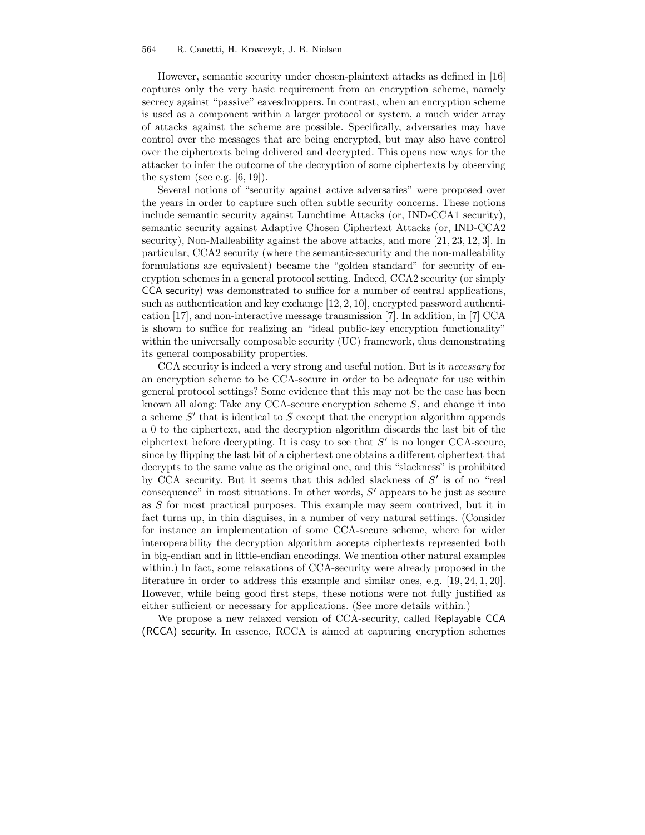However, semantic security under chosen-plaintext attacks as defined in [16] captures only the very basic requirement from an encryption scheme, namely secrecy against "passive" eavesdroppers. In contrast, when an encryption scheme is used as a component within a larger protocol or system, a much wider array of attacks against the scheme are possible. Specifically, adversaries may have control over the messages that are being encrypted, but may also have control over the ciphertexts being delivered and decrypted. This opens new ways for the attacker to infer the outcome of the decryption of some ciphertexts by observing the system (see e.g.  $[6, 19]$ ).

Several notions of "security against active adversaries" were proposed over the years in order to capture such often subtle security concerns. These notions include semantic security against Lunchtime Attacks (or, IND-CCA1 security), semantic security against Adaptive Chosen Ciphertext Attacks (or, IND-CCA2 security), Non-Malleability against the above attacks, and more [21, 23, 12, 3]. In particular, CCA2 security (where the semantic-security and the non-malleability formulations are equivalent) became the "golden standard" for security of encryption schemes in a general protocol setting. Indeed, CCA2 security (or simply CCA security) was demonstrated to suffice for a number of central applications, such as authentication and key exchange  $[12, 2, 10]$ , encrypted password authentication [17], and non-interactive message transmission [7]. In addition, in [7] CCA is shown to suffice for realizing an "ideal public-key encryption functionality" within the universally composable security (UC) framework, thus demonstrating its general composability properties.

CCA security is indeed a very strong and useful notion. But is it necessary for an encryption scheme to be CCA-secure in order to be adequate for use within general protocol settings? Some evidence that this may not be the case has been known all along: Take any CCA-secure encryption scheme S, and change it into a scheme  $S'$  that is identical to  $S$  except that the encryption algorithm appends a 0 to the ciphertext, and the decryption algorithm discards the last bit of the ciphertext before decrypting. It is easy to see that  $S'$  is no longer CCA-secure, since by flipping the last bit of a ciphertext one obtains a different ciphertext that decrypts to the same value as the original one, and this "slackness" is prohibited by CCA security. But it seems that this added slackness of  $S'$  is of no "real consequence" in most situations. In other words,  $S'$  appears to be just as secure as S for most practical purposes. This example may seem contrived, but it in fact turns up, in thin disguises, in a number of very natural settings. (Consider for instance an implementation of some CCA-secure scheme, where for wider interoperability the decryption algorithm accepts ciphertexts represented both in big-endian and in little-endian encodings. We mention other natural examples within.) In fact, some relaxations of CCA-security were already proposed in the literature in order to address this example and similar ones, e.g. [19, 24, 1, 20]. However, while being good first steps, these notions were not fully justified as either sufficient or necessary for applications. (See more details within.)

We propose a new relaxed version of CCA-security, called Replayable CCA (RCCA) security. In essence, RCCA is aimed at capturing encryption schemes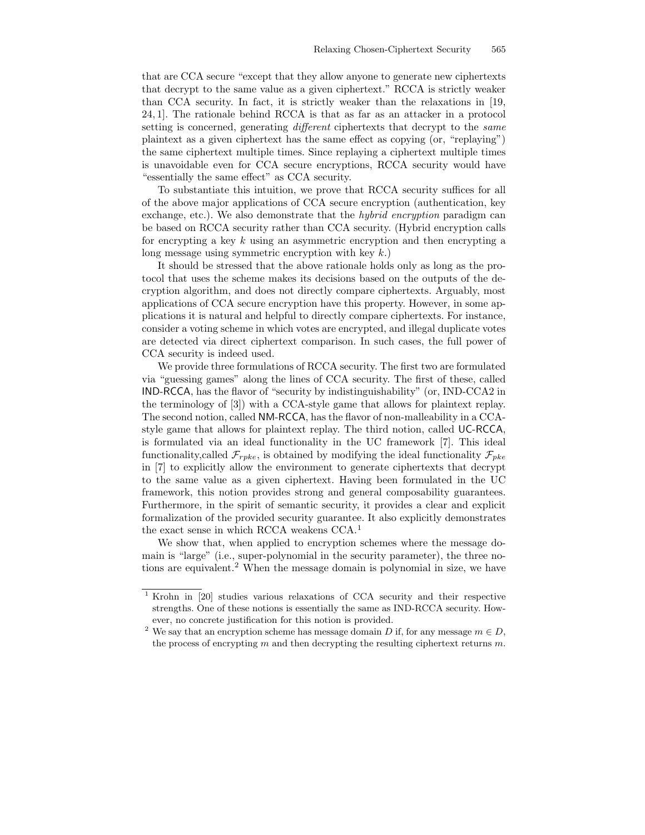that are CCA secure "except that they allow anyone to generate new ciphertexts that decrypt to the same value as a given ciphertext." RCCA is strictly weaker than CCA security. In fact, it is strictly weaker than the relaxations in [19, 24, 1]. The rationale behind RCCA is that as far as an attacker in a protocol setting is concerned, generating *different* ciphertexts that decrypt to the *same* plaintext as a given ciphertext has the same effect as copying (or, "replaying") the same ciphertext multiple times. Since replaying a ciphertext multiple times is unavoidable even for CCA secure encryptions, RCCA security would have "essentially the same effect" as CCA security.

To substantiate this intuition, we prove that RCCA security suffices for all of the above major applications of CCA secure encryption (authentication, key exchange, etc.). We also demonstrate that the hybrid encryption paradigm can be based on RCCA security rather than CCA security. (Hybrid encryption calls for encrypting a key  $k$  using an asymmetric encryption and then encrypting a long message using symmetric encryption with key  $k$ .)

It should be stressed that the above rationale holds only as long as the protocol that uses the scheme makes its decisions based on the outputs of the decryption algorithm, and does not directly compare ciphertexts. Arguably, most applications of CCA secure encryption have this property. However, in some applications it is natural and helpful to directly compare ciphertexts. For instance, consider a voting scheme in which votes are encrypted, and illegal duplicate votes are detected via direct ciphertext comparison. In such cases, the full power of CCA security is indeed used.

We provide three formulations of RCCA security. The first two are formulated via "guessing games" along the lines of CCA security. The first of these, called IND-RCCA, has the flavor of "security by indistinguishability" (or, IND-CCA2 in the terminology of [3]) with a CCA-style game that allows for plaintext replay. The second notion, called NM-RCCA, has the flavor of non-malleability in a CCAstyle game that allows for plaintext replay. The third notion, called UC-RCCA, is formulated via an ideal functionality in the UC framework [7]. This ideal functionality, called  $\mathcal{F}_{\text{rpke}}$ , is obtained by modifying the ideal functionality  $\mathcal{F}_{\text{pke}}$ in [7] to explicitly allow the environment to generate ciphertexts that decrypt to the same value as a given ciphertext. Having been formulated in the UC framework, this notion provides strong and general composability guarantees. Furthermore, in the spirit of semantic security, it provides a clear and explicit formalization of the provided security guarantee. It also explicitly demonstrates the exact sense in which RCCA weakens CCA.<sup>1</sup>

We show that, when applied to encryption schemes where the message domain is "large" (i.e., super-polynomial in the security parameter), the three notions are equivalent.<sup>2</sup> When the message domain is polynomial in size, we have

<sup>1</sup> Krohn in [20] studies various relaxations of CCA security and their respective strengths. One of these notions is essentially the same as IND-RCCA security. However, no concrete justification for this notion is provided.

<sup>&</sup>lt;sup>2</sup> We say that an encryption scheme has message domain D if, for any message  $m \in D$ , the process of encrypting m and then decrypting the resulting ciphertext returns  $m$ .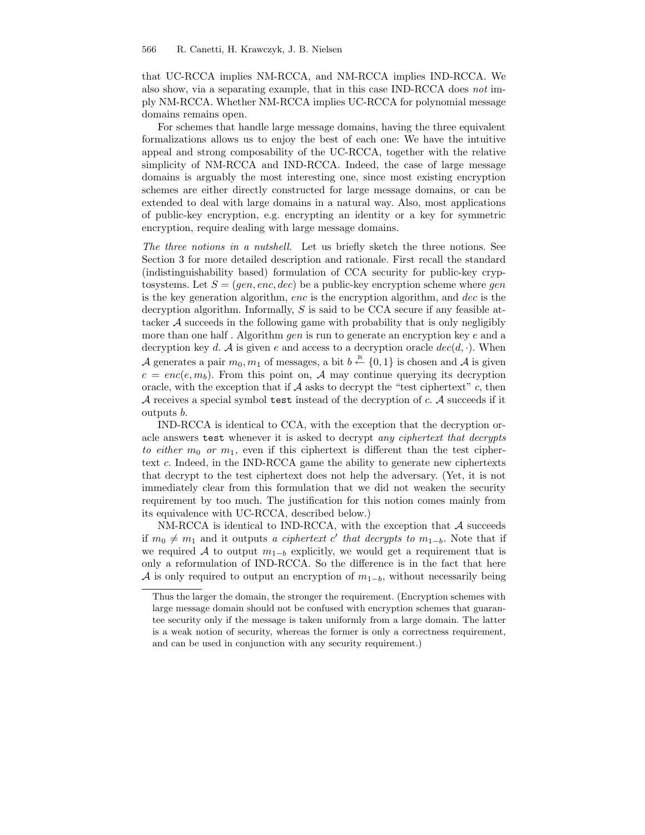that UC-RCCA implies NM-RCCA, and NM-RCCA implies IND-RCCA. We also show, via a separating example, that in this case IND-RCCA does not imply NM-RCCA. Whether NM-RCCA implies UC-RCCA for polynomial message domains remains open.

For schemes that handle large message domains, having the three equivalent formalizations allows us to enjoy the best of each one: We have the intuitive appeal and strong composability of the UC-RCCA, together with the relative simplicity of NM-RCCA and IND-RCCA. Indeed, the case of large message domains is arguably the most interesting one, since most existing encryption schemes are either directly constructed for large message domains, or can be extended to deal with large domains in a natural way. Also, most applications of public-key encryption, e.g. encrypting an identity or a key for symmetric encryption, require dealing with large message domains.

The three notions in a nutshell. Let us briefly sketch the three notions. See Section 3 for more detailed description and rationale. First recall the standard (indistinguishability based) formulation of CCA security for public-key cryptosystems. Let  $S = (gen, enc, dec)$  be a public-key encryption scheme where gen is the key generation algorithm, enc is the encryption algorithm, and dec is the decryption algorithm. Informally, S is said to be CCA secure if any feasible attacker A succeeds in the following game with probability that is only negligibly more than one half. Algorithm *gen* is run to generate an encryption key e and a decryption key d. A is given e and access to a decryption oracle  $dec(d, \cdot)$ . When A generates a pair  $m_0, m_1$  of messages, a bit  $b \stackrel{\text{R}}{\leftarrow} \{0,1\}$  is chosen and A is given  $c = enc(e, m_b)$ . From this point on, A may continue querying its decryption oracle, with the exception that if  $A$  asks to decrypt the "test ciphertext" c, then A receives a special symbol test instead of the decryption of  $c$ . A succeeds if it outputs b.

IND-RCCA is identical to CCA, with the exception that the decryption oracle answers test whenever it is asked to decrypt any ciphertext that decrypts to either  $m_0$  or  $m_1$ , even if this ciphertext is different than the test ciphertext c. Indeed, in the IND-RCCA game the ability to generate new ciphertexts that decrypt to the test ciphertext does not help the adversary. (Yet, it is not immediately clear from this formulation that we did not weaken the security requirement by too much. The justification for this notion comes mainly from its equivalence with UC-RCCA, described below.)

 $NM-RCCA$  is identical to  $IND-RCCA$ , with the exception that  $A$  succeeds if  $m_0 \neq m_1$  and it outputs a ciphertext c' that decrypts to  $m_{1-b}$ . Note that if we required A to output  $m_{1-b}$  explicitly, we would get a requirement that is only a reformulation of IND-RCCA. So the difference is in the fact that here A is only required to output an encryption of  $m_{1-b}$ , without necessarily being

Thus the larger the domain, the stronger the requirement. (Encryption schemes with large message domain should not be confused with encryption schemes that guarantee security only if the message is taken uniformly from a large domain. The latter is a weak notion of security, whereas the former is only a correctness requirement, and can be used in conjunction with any security requirement.)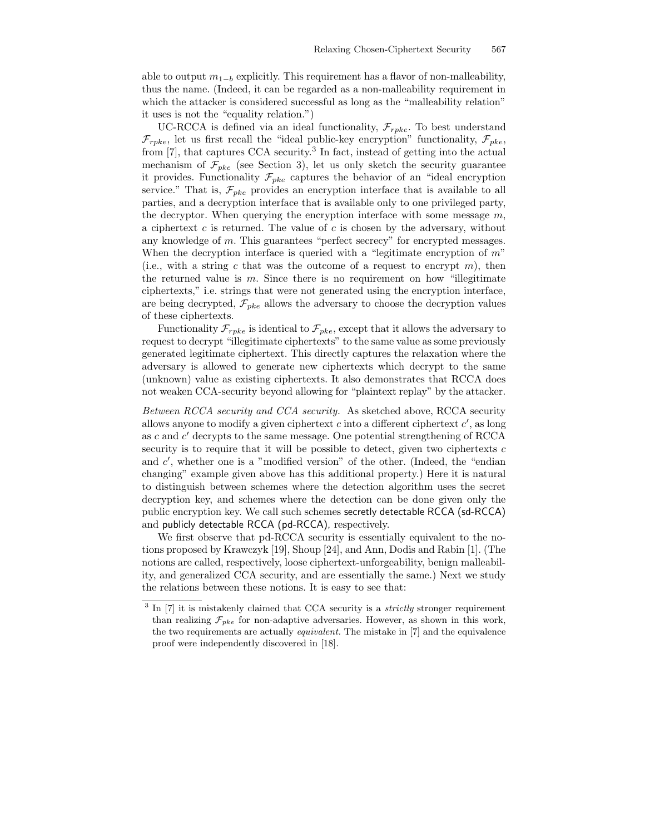able to output  $m_{1-b}$  explicitly. This requirement has a flavor of non-malleability, thus the name. (Indeed, it can be regarded as a non-malleability requirement in which the attacker is considered successful as long as the "malleability relation" it uses is not the "equality relation.")

UC-RCCA is defined via an ideal functionality,  $\mathcal{F}_{rpke}$ . To best understand  $\mathcal{F}_{rpke}$ , let us first recall the "ideal public-key encryption" functionality,  $\mathcal{F}_{pke}$ , from [7], that captures CCA security.<sup>3</sup> In fact, instead of getting into the actual mechanism of  $\mathcal{F}_{pke}$  (see Section 3), let us only sketch the security guarantee it provides. Functionality  $\mathcal{F}_{pke}$  captures the behavior of an "ideal encryption service." That is,  $\mathcal{F}_{pke}$  provides an encryption interface that is available to all parties, and a decryption interface that is available only to one privileged party, the decryptor. When querying the encryption interface with some message  $m$ , a ciphertext c is returned. The value of c is chosen by the adversary, without any knowledge of m. This guarantees "perfect secrecy" for encrypted messages. When the decryption interface is queried with a "legitimate encryption of  $m$ " (i.e., with a string c that was the outcome of a request to encrypt  $m$ ), then the returned value is  $m$ . Since there is no requirement on how "illegitimate ciphertexts," i.e. strings that were not generated using the encryption interface, are being decrypted,  $\mathcal{F}_{pke}$  allows the adversary to choose the decryption values of these ciphertexts.

Functionality  $\mathcal{F}_{rpke}$  is identical to  $\mathcal{F}_{pke}$ , except that it allows the adversary to request to decrypt "illegitimate ciphertexts" to the same value as some previously generated legitimate ciphertext. This directly captures the relaxation where the adversary is allowed to generate new ciphertexts which decrypt to the same (unknown) value as existing ciphertexts. It also demonstrates that RCCA does not weaken CCA-security beyond allowing for "plaintext replay" by the attacker.

Between RCCA security and CCA security. As sketched above, RCCA security allows anyone to modify a given ciphertext  $c$  into a different ciphertext  $c'$ , as long as  $c$  and  $c'$  decrypts to the same message. One potential strengthening of RCCA security is to require that it will be possible to detect, given two ciphertexts  $c$ and  $c'$ , whether one is a "modified version" of the other. (Indeed, the "endian changing" example given above has this additional property.) Here it is natural to distinguish between schemes where the detection algorithm uses the secret decryption key, and schemes where the detection can be done given only the public encryption key. We call such schemes secretly detectable RCCA (sd-RCCA) and publicly detectable RCCA (pd-RCCA), respectively.

We first observe that pd-RCCA security is essentially equivalent to the notions proposed by Krawczyk [19], Shoup [24], and Ann, Dodis and Rabin [1]. (The notions are called, respectively, loose ciphertext-unforgeability, benign malleability, and generalized CCA security, and are essentially the same.) Next we study the relations between these notions. It is easy to see that:

<sup>3</sup> In [7] it is mistakenly claimed that CCA security is a *strictly* stronger requirement than realizing  $\mathcal{F}_{pke}$  for non-adaptive adversaries. However, as shown in this work, the two requirements are actually equivalent. The mistake in [7] and the equivalence proof were independently discovered in [18].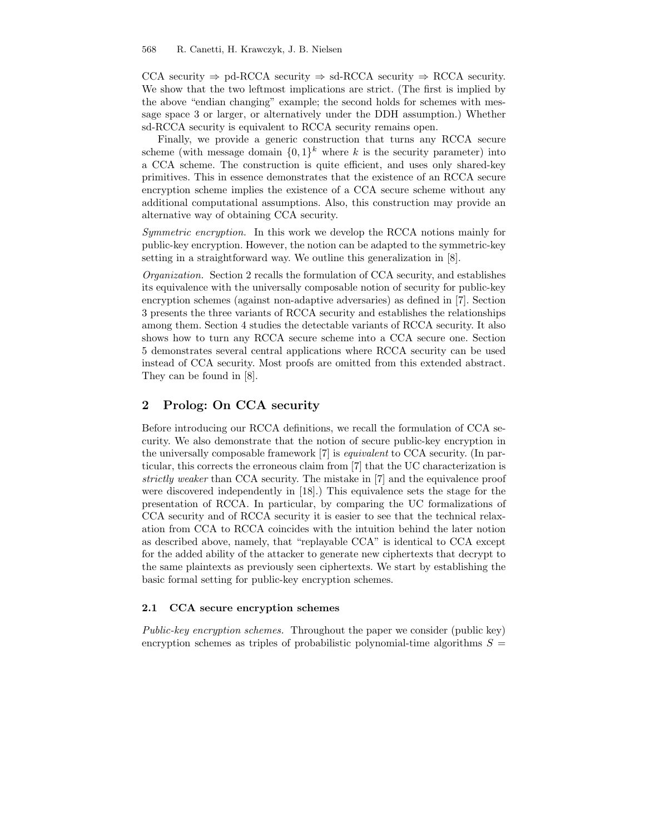CCA security  $\Rightarrow$  pd-RCCA security  $\Rightarrow$  sd-RCCA security  $\Rightarrow$  RCCA security. We show that the two leftmost implications are strict. (The first is implied by the above "endian changing" example; the second holds for schemes with message space 3 or larger, or alternatively under the DDH assumption.) Whether sd-RCCA security is equivalent to RCCA security remains open.

Finally, we provide a generic construction that turns any RCCA secure scheme (with message domain  $\{0,1\}^k$  where k is the security parameter) into a CCA scheme. The construction is quite efficient, and uses only shared-key primitives. This in essence demonstrates that the existence of an RCCA secure encryption scheme implies the existence of a CCA secure scheme without any additional computational assumptions. Also, this construction may provide an alternative way of obtaining CCA security.

Symmetric encryption. In this work we develop the RCCA notions mainly for public-key encryption. However, the notion can be adapted to the symmetric-key setting in a straightforward way. We outline this generalization in [8].

Organization. Section 2 recalls the formulation of CCA security, and establishes its equivalence with the universally composable notion of security for public-key encryption schemes (against non-adaptive adversaries) as defined in [7]. Section 3 presents the three variants of RCCA security and establishes the relationships among them. Section 4 studies the detectable variants of RCCA security. It also shows how to turn any RCCA secure scheme into a CCA secure one. Section 5 demonstrates several central applications where RCCA security can be used instead of CCA security. Most proofs are omitted from this extended abstract. They can be found in [8].

## 2 Prolog: On CCA security

Before introducing our RCCA definitions, we recall the formulation of CCA security. We also demonstrate that the notion of secure public-key encryption in the universally composable framework [7] is equivalent to CCA security. (In particular, this corrects the erroneous claim from [7] that the UC characterization is strictly weaker than CCA security. The mistake in [7] and the equivalence proof were discovered independently in [18].) This equivalence sets the stage for the presentation of RCCA. In particular, by comparing the UC formalizations of CCA security and of RCCA security it is easier to see that the technical relaxation from CCA to RCCA coincides with the intuition behind the later notion as described above, namely, that "replayable CCA" is identical to CCA except for the added ability of the attacker to generate new ciphertexts that decrypt to the same plaintexts as previously seen ciphertexts. We start by establishing the basic formal setting for public-key encryption schemes.

#### 2.1 CCA secure encryption schemes

Public-key encryption schemes. Throughout the paper we consider (public key) encryption schemes as triples of probabilistic polynomial-time algorithms  $S =$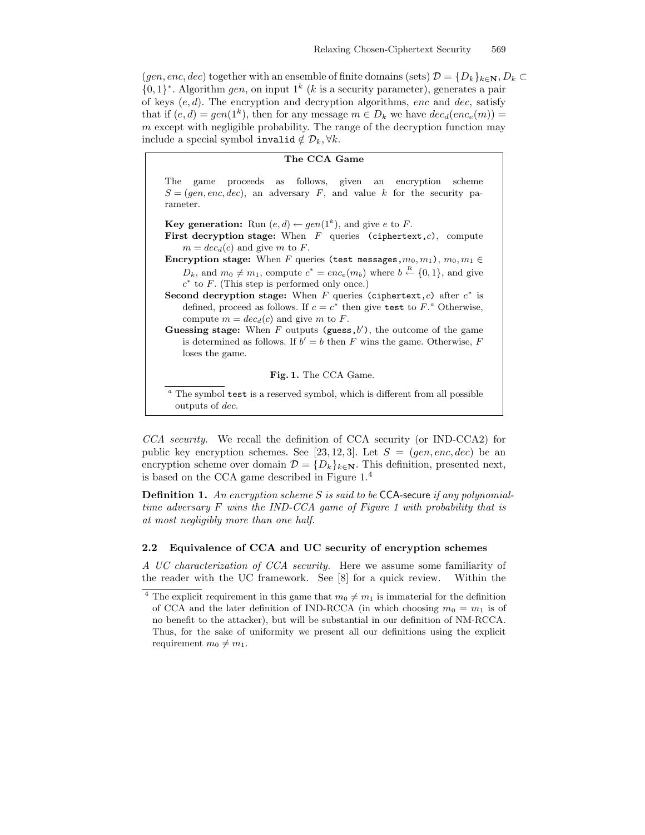(gen, enc, dec) together with an ensemble of finite domains (sets)  $\mathcal{D} = \{D_k\}_{k\in\mathbb{N}}, D_k \subset$  $\{0,1\}^*$ . Algorithm gen, on input  $1^k$  (k is a security parameter), generates a pair of keys  $(e, d)$ . The encryption and decryption algorithms, enc and dec, satisfy that if  $(e, d) = gen(1^k)$ , then for any message  $m \in D_k$  we have  $dec_d (enc_e(m)) =$  $m$  except with negligible probability. The range of the decryption function may include a special symbol invalid  $\notin \mathcal{D}_k, \forall k$ .

#### The CCA Game

The game proceeds as follows, given an encryption scheme  $S = (gen, enc, dec)$ , an adversary F, and value k for the security parameter. **Key generation:** Run  $(e, d) \leftarrow gen(1^k)$ , and give e to F. First decryption stage: When  $F$  queries (ciphertext, c), compute  $m = dec_d(c)$  and give m to F. Encryption stage: When F queries (test messages,  $m_0, m_1$ ),  $m_0, m_1 \in$  $D_k$ , and  $m_0 \neq m_1$ , compute  $c^* = enc_e(m_b)$  where  $b \stackrel{\text{R}}{\leftarrow} \{0,1\}$ , and give  $c^*$  to  $F$ . (This step is performed only once.) Second decryption stage: When  $F$  queries (ciphertext, c) after  $c^*$  is defined, proceed as follows. If  $c = c^*$  then give test to F.<sup>a</sup> Otherwise, compute  $m = dec_d(c)$  and give m to F. Guessing stage: When  $F$  outputs (guess,  $b'$ ), the outcome of the game is determined as follows. If  $b' = b$  then F wins the game. Otherwise, F loses the game. Fig. 1. The CCA Game.

 $^a$  The symbol test is a reserved symbol, which is different from all possible outputs of dec.

CCA security. We recall the definition of CCA security (or IND-CCA2) for public key encryption schemes. See [23, 12, 3]. Let  $S = (gen, enc, dec)$  be an encryption scheme over domain  $\mathcal{D} = \{D_k\}_{k \in \mathbb{N}}$ . This definition, presented next, is based on the CCA game described in Figure 1.<sup>4</sup>

**Definition 1.** An encryption scheme S is said to be  $CCA$ -secure if any polynomialtime adversary  $F$  wins the IND-CCA game of Figure 1 with probability that is at most negligibly more than one half.

### 2.2 Equivalence of CCA and UC security of encryption schemes

A UC characterization of CCA security. Here we assume some familiarity of the reader with the UC framework. See [8] for a quick review. Within the

<sup>&</sup>lt;sup>4</sup> The explicit requirement in this game that  $m_0 \neq m_1$  is immaterial for the definition of CCA and the later definition of IND-RCCA (in which choosing  $m_0 = m_1$  is of no benefit to the attacker), but will be substantial in our definition of NM-RCCA. Thus, for the sake of uniformity we present all our definitions using the explicit requirement  $m_0 \neq m_1$ .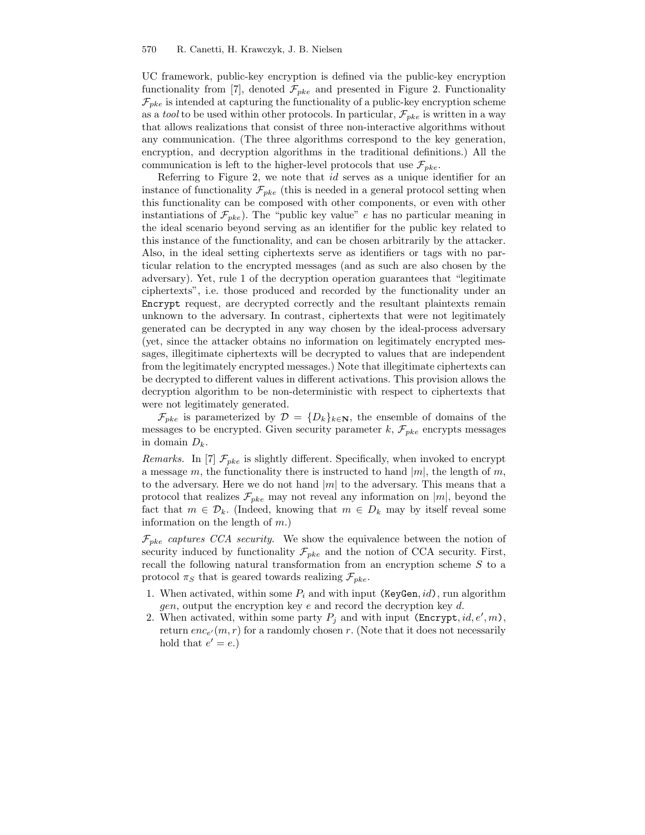UC framework, public-key encryption is defined via the public-key encryption functionality from [7], denoted  $\mathcal{F}_{pke}$  and presented in Figure 2. Functionality  $\mathcal{F}_{pke}$  is intended at capturing the functionality of a public-key encryption scheme as a tool to be used within other protocols. In particular,  $\mathcal{F}_{pke}$  is written in a way that allows realizations that consist of three non-interactive algorithms without any communication. (The three algorithms correspond to the key generation, encryption, and decryption algorithms in the traditional definitions.) All the communication is left to the higher-level protocols that use  $\mathcal{F}_{\textit{pke}}$ .

Referring to Figure 2, we note that id serves as a unique identifier for an instance of functionality  $\mathcal{F}_{pke}$  (this is needed in a general protocol setting when this functionality can be composed with other components, or even with other instantiations of  $\mathcal{F}_{pke}$ ). The "public key value" e has no particular meaning in the ideal scenario beyond serving as an identifier for the public key related to this instance of the functionality, and can be chosen arbitrarily by the attacker. Also, in the ideal setting ciphertexts serve as identifiers or tags with no particular relation to the encrypted messages (and as such are also chosen by the adversary). Yet, rule 1 of the decryption operation guarantees that "legitimate ciphertexts", i.e. those produced and recorded by the functionality under an Encrypt request, are decrypted correctly and the resultant plaintexts remain unknown to the adversary. In contrast, ciphertexts that were not legitimately generated can be decrypted in any way chosen by the ideal-process adversary (yet, since the attacker obtains no information on legitimately encrypted messages, illegitimate ciphertexts will be decrypted to values that are independent from the legitimately encrypted messages.) Note that illegitimate ciphertexts can be decrypted to different values in different activations. This provision allows the decryption algorithm to be non-deterministic with respect to ciphertexts that were not legitimately generated.

 $\mathcal{F}_{pke}$  is parameterized by  $\mathcal{D} = \{D_k\}_{k\in\mathbb{N}}$ , the ensemble of domains of the messages to be encrypted. Given security parameter k,  $\mathcal{F}_{pke}$  encrypts messages in domain  $D_k$ .

Remarks. In [7]  $\mathcal{F}_{pke}$  is slightly different. Specifically, when invoked to encrypt a message m, the functionality there is instructed to hand  $|m|$ , the length of m, to the adversary. Here we do not hand  $|m|$  to the adversary. This means that a protocol that realizes  $\mathcal{F}_{pke}$  may not reveal any information on  $|m|$ , beyond the fact that  $m \in \mathcal{D}_k$ . (Indeed, knowing that  $m \in D_k$  may by itself reveal some information on the length of  $m$ .)

 $\mathcal{F}_{pke}$  captures CCA security. We show the equivalence between the notion of security induced by functionality  $\mathcal{F}_{pke}$  and the notion of CCA security. First, recall the following natural transformation from an encryption scheme S to a protocol  $\pi_S$  that is geared towards realizing  $\mathcal{F}_{pke}$ .

- 1. When activated, within some  $P_i$  and with input (KeyGen, id), run algorithm gen, output the encryption key  $e$  and record the decryption key  $d$ .
- 2. When activated, within some party  $P_j$  and with input (Encrypt, id, e', m), return  $enc_{e'}(m,r)$  for a randomly chosen r. (Note that it does not necessarily hold that  $e' = e$ .)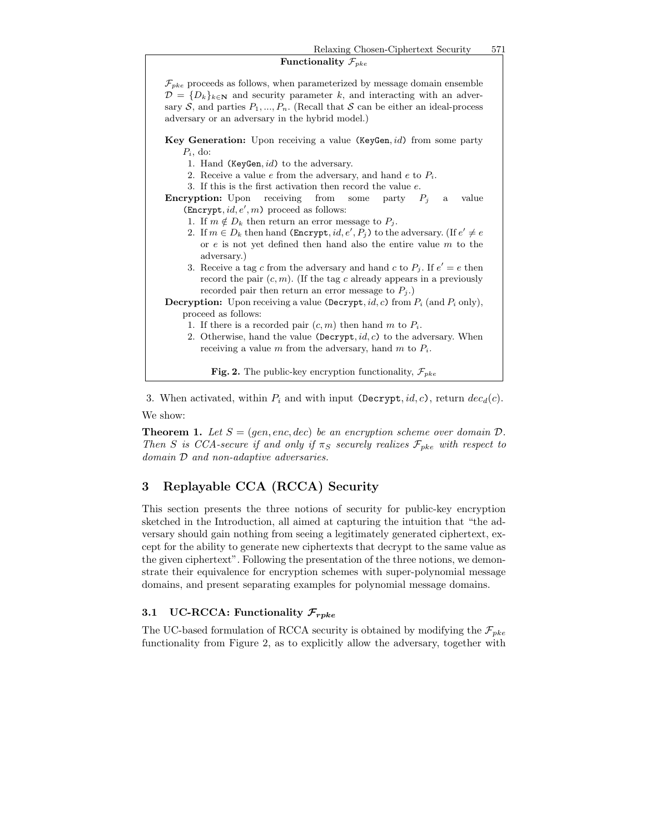Relaxing Chosen-Ciphertext Security 571 Functionality  $\mathcal{F}_{pke}$ 

 $\mathcal{F}_{pke}$  proceeds as follows, when parameterized by message domain ensemble  $\mathcal{D} = \{D_k\}_{k \in \mathbb{N}}$  and security parameter k, and interacting with an adversary S, and parties  $P_1, ..., P_n$ . (Recall that S can be either an ideal-process adversary or an adversary in the hybrid model.)

Key Generation: Upon receiving a value (KeyGen,  $id$ ) from some party  $P_i$ , do:

1. Hand (KeyGen,  $id$ ) to the adversary.

- 2. Receive a value  $e$  from the adversary, and hand  $e$  to  $P_i$ .
- 3. If this is the first activation then record the value e.

**Encryption:** Upon receiving from some party  $P_i$  a value  $(Energy, id, e', m)$  proceed as follows:

- 1. If  $m \notin D_k$  then return an error message to  $P_j$ .
- 2. If  $m \in D_k$  then hand (Encrypt, id, e',  $P_j$ ) to the adversary. (If  $e' \neq e$ or e is not yet defined then hand also the entire value m to the adversary.)
- 3. Receive a tag c from the adversary and hand c to  $P_j$ . If  $e' = e$  then record the pair  $(c, m)$ . (If the tag c already appears in a previously recorded pair then return an error message to  $P_j$ .)

**Decryption:** Upon receiving a value (Decrypt, id, c) from  $P_i$  (and  $P_i$  only), proceed as follows:

- 1. If there is a recorded pair  $(c, m)$  then hand m to  $P_i$ .
- 2. Otherwise, hand the value (Decrypt,  $id, c$ ) to the adversary. When receiving a value m from the adversary, hand m to  $P_i$ .

Fig. 2. The public-key encryption functionality,  $\mathcal{F}_{pke}$ 

3. When activated, within  $P_i$  and with input (Decrypt, id, c), return  $dec_d(c)$ . We show:

**Theorem 1.** Let  $S = (gen, enc, dec)$  be an encryption scheme over domain  $D$ . Then S is CCA-secure if and only if  $\pi_S$  securely realizes  $\mathcal{F}_{pke}$  with respect to domain  $D$  and non-adaptive adversaries.

# 3 Replayable CCA (RCCA) Security

This section presents the three notions of security for public-key encryption sketched in the Introduction, all aimed at capturing the intuition that "the adversary should gain nothing from seeing a legitimately generated ciphertext, except for the ability to generate new ciphertexts that decrypt to the same value as the given ciphertext". Following the presentation of the three notions, we demonstrate their equivalence for encryption schemes with super-polynomial message domains, and present separating examples for polynomial message domains.

## 3.1 UC-RCCA: Functionality  $\mathcal{F}_{rpke}$

The UC-based formulation of RCCA security is obtained by modifying the  $\mathcal{F}_{pke}$ functionality from Figure 2, as to explicitly allow the adversary, together with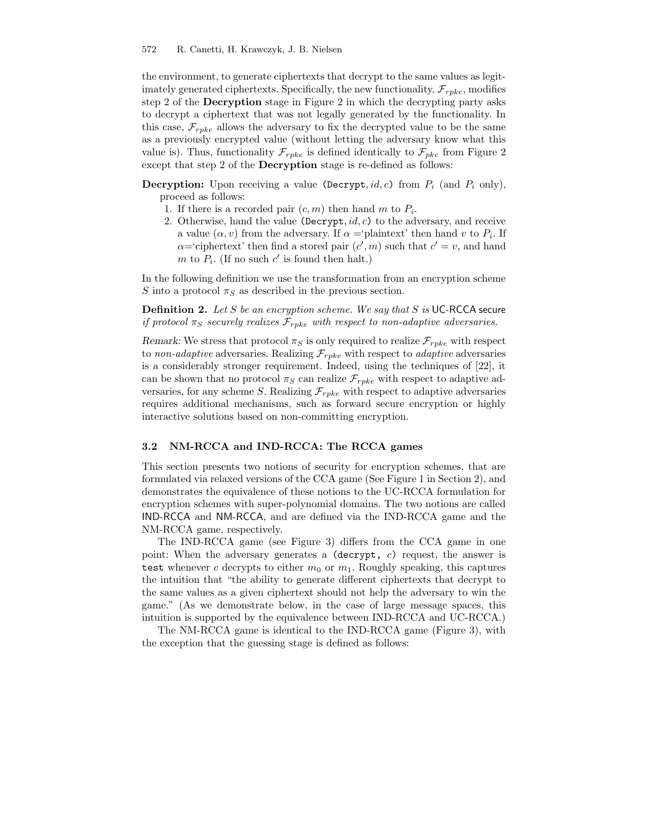the environment, to generate ciphertexts that decrypt to the same values as legitimately generated ciphertexts. Specifically, the new functionality,  $\mathcal{F}_{r p k e}$ , modifies step 2 of the Decryption stage in Figure 2 in which the decrypting party asks to decrypt a ciphertext that was not legally generated by the functionality. In this case,  $\mathcal{F}_{rpke}$  allows the adversary to fix the decrypted value to be the same as a previously encrypted value (without letting the adversary know what this value is). Thus, functionality  $\mathcal{F}_{r p k e}$  is defined identically to  $\mathcal{F}_{p k e}$  from Figure 2 except that step 2 of the Decryption stage is re-defined as follows:

**Decryption:** Upon receiving a value (Decrypt,  $id, c$ ) from  $P_i$  (and  $P_i$  only), proceed as follows:

- 1. If there is a recorded pair  $(c, m)$  then hand m to  $P_i$ .
- 2. Otherwise, hand the value (Decrypt,  $id, c$ ) to the adversary, and receive a value  $(\alpha, v)$  from the adversary. If  $\alpha = \text{plaintext}$  then hand v to  $P_i$ . If  $\alpha$ ='ciphertext' then find a stored pair  $(c', m)$  such that  $c' = v$ , and hand m to  $P_i$ . (If no such  $c'$  is found then halt.)

In the following definition we use the transformation from an encryption scheme S into a protocol  $\pi_S$  as described in the previous section.

## **Definition 2.** Let S be an encryption scheme. We say that S is UC-RCCA secure if protocol  $\pi_S$  securely realizes  $\mathcal{F}_{r p k e}$  with respect to non-adaptive adversaries.

Remark: We stress that protocol  $\pi_S$  is only required to realize  $\mathcal{F}_{r p k e}$  with respect to non-adaptive adversaries. Realizing  $\mathcal{F}_{r p k e}$  with respect to *adaptive* adversaries is a considerably stronger requirement. Indeed, using the techniques of [22], it can be shown that no protocol  $\pi_S$  can realize  $\mathcal{F}_{rpke}$  with respect to adaptive adversaries, for any scheme S. Realizing  $\mathcal{F}_{rpke}$  with respect to adaptive adversaries requires additional mechanisms, such as forward secure encryption or highly interactive solutions based on non-committing encryption.

### 3.2 NM-RCCA and IND-RCCA: The RCCA games

This section presents two notions of security for encryption schemes, that are formulated via relaxed versions of the CCA game (See Figure 1 in Section 2), and demonstrates the equivalence of these notions to the UC-RCCA formulation for encryption schemes with super-polynomial domains. The two notions are called IND-RCCA and NM-RCCA, and are defined via the IND-RCCA game and the NM-RCCA game, respectively.

The IND-RCCA game (see Figure 3) differs from the CCA game in one point: When the adversary generates a (decrypt, c) request, the answer is test whenever c decrypts to either  $m_0$  or  $m_1$ . Roughly speaking, this captures the intuition that "the ability to generate different ciphertexts that decrypt to the same values as a given ciphertext should not help the adversary to win the game." (As we demonstrate below, in the case of large message spaces, this intuition is supported by the equivalence between IND-RCCA and UC-RCCA.)

The NM-RCCA game is identical to the IND-RCCA game (Figure 3), with the exception that the guessing stage is defined as follows: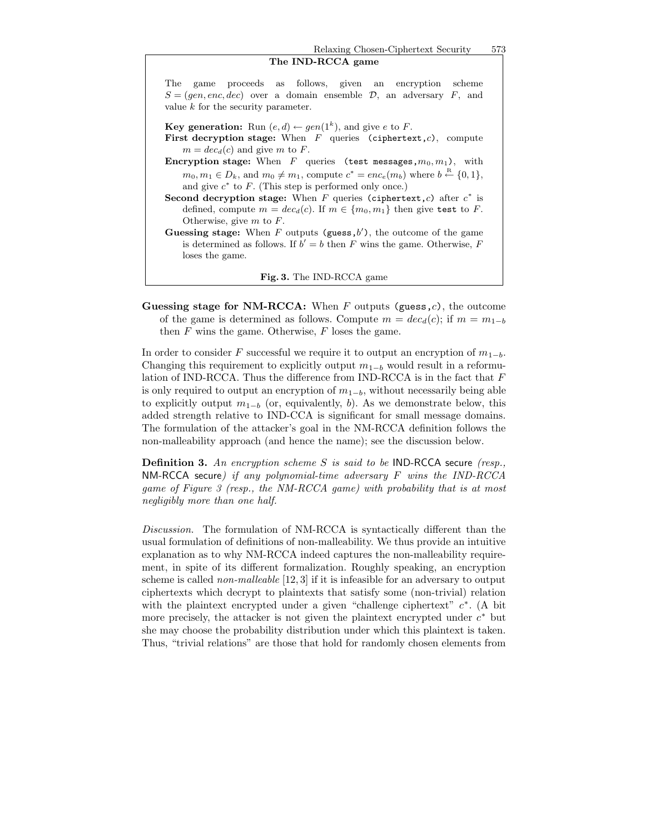#### Relaxing Chosen-Ciphertext Security 573 The IND-RCCA game

## The game proceeds as follows, given an encryption scheme  $S = (gen, enc, dec)$  over a domain ensemble D, an adversary F, and value k for the security parameter.

**Key generation:** Run  $(e, d) \leftarrow gen(1^k)$ , and give e to F.

- First decryption stage: When  $F$  queries (ciphertext, c), compute  $m = dec_d(c)$  and give m to F.
- Encryption stage: When  $F$  queries (test messages,  $m_0, m_1$ ), with  $m_0, m_1 \in D_k$ , and  $m_0 \neq m_1$ , compute  $c^* = enc_e(m_b)$  where  $b \stackrel{\text{R}}{\leftarrow} \{0,1\}$ , and give  $c^*$  to  $F$ . (This step is performed only once.)
- Second decryption stage: When  $F$  queries (ciphertext, c) after  $c^*$  is defined, compute  $m = dec_d(c)$ . If  $m \in \{m_0, m_1\}$  then give test to F. Otherwise, give m to F.
- Guessing stage: When  $F$  outputs (guess,  $b'$ ), the outcome of the game is determined as follows. If  $b' = b$  then F wins the game. Otherwise, F loses the game.

Fig. 3. The IND-RCCA game

Guessing stage for NM-RCCA: When  $F$  outputs (guess,  $c$ ), the outcome of the game is determined as follows. Compute  $m = dec_d(c)$ ; if  $m = m_{1-b}$ then  $F$  wins the game. Otherwise,  $F$  loses the game.

In order to consider F successful we require it to output an encryption of  $m_{1-b}$ . Changing this requirement to explicitly output  $m_{1-b}$  would result in a reformulation of IND-RCCA. Thus the difference from IND-RCCA is in the fact that  $F$ is only required to output an encryption of  $m_{1-b}$ , without necessarily being able to explicitly output  $m_{1-b}$  (or, equivalently, b). As we demonstrate below, this added strength relative to IND-CCA is significant for small message domains. The formulation of the attacker's goal in the NM-RCCA definition follows the non-malleability approach (and hence the name); see the discussion below.

**Definition 3.** An encryption scheme S is said to be IND-RCCA secure (resp.,  $NM-RCCA$  secure) if any polynomial-time adversary  $F$  wins the  $IND-RCCA$ game of Figure 3 (resp., the NM-RCCA game) with probability that is at most negligibly more than one half.

Discussion. The formulation of NM-RCCA is syntactically different than the usual formulation of definitions of non-malleability. We thus provide an intuitive explanation as to why NM-RCCA indeed captures the non-malleability requirement, in spite of its different formalization. Roughly speaking, an encryption scheme is called non-malleable [12, 3] if it is infeasible for an adversary to output ciphertexts which decrypt to plaintexts that satisfy some (non-trivial) relation with the plaintext encrypted under a given "challenge ciphertext"  $c^*$ . (A bit more precisely, the attacker is not given the plaintext encrypted under  $c^*$  but she may choose the probability distribution under which this plaintext is taken. Thus, "trivial relations" are those that hold for randomly chosen elements from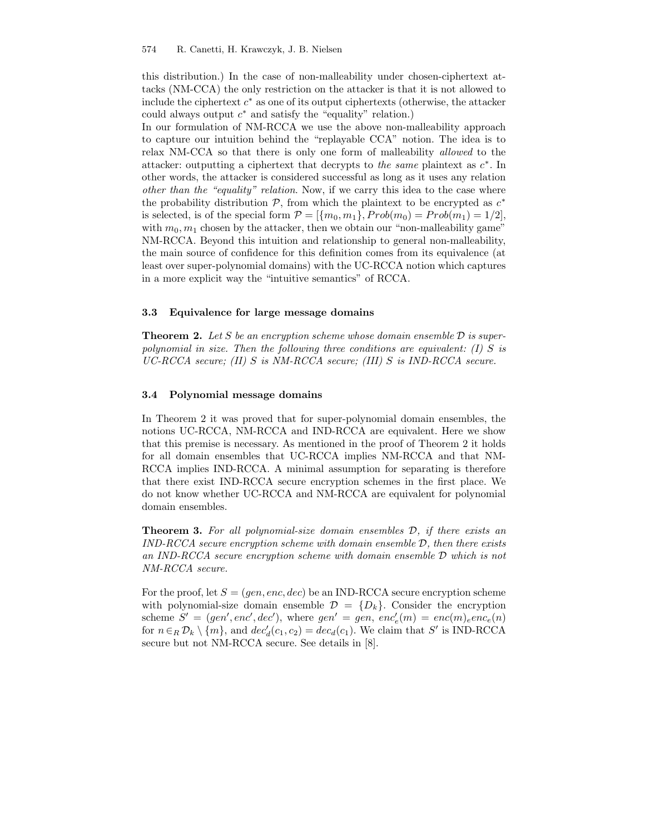this distribution.) In the case of non-malleability under chosen-ciphertext attacks (NM-CCA) the only restriction on the attacker is that it is not allowed to include the ciphertext  $c^*$  as one of its output ciphertexts (otherwise, the attacker could always output  $c^*$  and satisfy the "equality" relation.)

In our formulation of NM-RCCA we use the above non-malleability approach to capture our intuition behind the "replayable CCA" notion. The idea is to relax NM-CCA so that there is only one form of malleability allowed to the attacker: outputting a ciphertext that decrypts to the same plaintext as  $c^*$ . In other words, the attacker is considered successful as long as it uses any relation other than the "equality" relation. Now, if we carry this idea to the case where the probability distribution  $P$ , from which the plaintext to be encrypted as  $c^*$ is selected, is of the special form  $\mathcal{P} = \{\{m_0, m_1\}, Prob(m_0) = Prob(m_1) = 1/2\}$ , with  $m_0, m_1$  chosen by the attacker, then we obtain our "non-malleability game" NM-RCCA. Beyond this intuition and relationship to general non-malleability, the main source of confidence for this definition comes from its equivalence (at least over super-polynomial domains) with the UC-RCCA notion which captures in a more explicit way the "intuitive semantics" of RCCA.

#### 3.3 Equivalence for large message domains

**Theorem 2.** Let S be an encryption scheme whose domain ensemble  $D$  is superpolynomial in size. Then the following three conditions are equivalent:  $(I)$  S is UC-RCCA secure; (II) S is NM-RCCA secure; (III) S is IND-RCCA secure.

#### 3.4 Polynomial message domains

In Theorem 2 it was proved that for super-polynomial domain ensembles, the notions UC-RCCA, NM-RCCA and IND-RCCA are equivalent. Here we show that this premise is necessary. As mentioned in the proof of Theorem 2 it holds for all domain ensembles that UC-RCCA implies NM-RCCA and that NM-RCCA implies IND-RCCA. A minimal assumption for separating is therefore that there exist IND-RCCA secure encryption schemes in the first place. We do not know whether UC-RCCA and NM-RCCA are equivalent for polynomial domain ensembles.

**Theorem 3.** For all polynomial-size domain ensembles  $\mathcal{D}$ , if there exists an  $IND-RCCA$  secure encryption scheme with domain ensemble  $D$ , then there exists an IND-RCCA secure encryption scheme with domain ensemble D which is not NM-RCCA secure.

For the proof, let  $S = (gen, enc, dec)$  be an IND-RCCA secure encryption scheme with polynomial-size domain ensemble  $\mathcal{D} = \{D_k\}$ . Consider the encryption scheme  $S' = (gen', enc', dec')$ , where  $gen' = gen$ ,  $enc'_e(m) = enc(m)_e enc_e(n)$ for  $n \in_R \mathcal{D}_k \setminus \{m\}$ , and  $dec'_d(c_1, c_2) = dec_d(c_1)$ . We claim that S' is IND-RCCA secure but not NM-RCCA secure. See details in [8].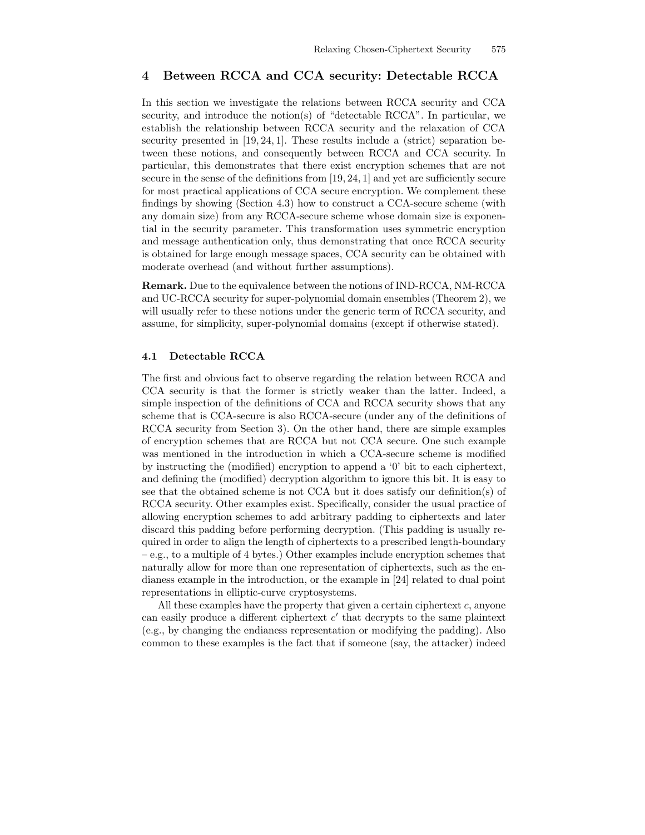## 4 Between RCCA and CCA security: Detectable RCCA

In this section we investigate the relations between RCCA security and CCA security, and introduce the notion(s) of "detectable RCCA". In particular, we establish the relationship between RCCA security and the relaxation of CCA security presented in  $[19, 24, 1]$ . These results include a (strict) separation between these notions, and consequently between RCCA and CCA security. In particular, this demonstrates that there exist encryption schemes that are not secure in the sense of the definitions from [19, 24, 1] and yet are sufficiently secure for most practical applications of CCA secure encryption. We complement these findings by showing (Section 4.3) how to construct a CCA-secure scheme (with any domain size) from any RCCA-secure scheme whose domain size is exponential in the security parameter. This transformation uses symmetric encryption and message authentication only, thus demonstrating that once RCCA security is obtained for large enough message spaces, CCA security can be obtained with moderate overhead (and without further assumptions).

Remark. Due to the equivalence between the notions of IND-RCCA, NM-RCCA and UC-RCCA security for super-polynomial domain ensembles (Theorem 2), we will usually refer to these notions under the generic term of RCCA security, and assume, for simplicity, super-polynomial domains (except if otherwise stated).

### 4.1 Detectable RCCA

The first and obvious fact to observe regarding the relation between RCCA and CCA security is that the former is strictly weaker than the latter. Indeed, a simple inspection of the definitions of CCA and RCCA security shows that any scheme that is CCA-secure is also RCCA-secure (under any of the definitions of RCCA security from Section 3). On the other hand, there are simple examples of encryption schemes that are RCCA but not CCA secure. One such example was mentioned in the introduction in which a CCA-secure scheme is modified by instructing the (modified) encryption to append a '0' bit to each ciphertext, and defining the (modified) decryption algorithm to ignore this bit. It is easy to see that the obtained scheme is not CCA but it does satisfy our definition(s) of RCCA security. Other examples exist. Specifically, consider the usual practice of allowing encryption schemes to add arbitrary padding to ciphertexts and later discard this padding before performing decryption. (This padding is usually required in order to align the length of ciphertexts to a prescribed length-boundary – e.g., to a multiple of 4 bytes.) Other examples include encryption schemes that naturally allow for more than one representation of ciphertexts, such as the endianess example in the introduction, or the example in [24] related to dual point representations in elliptic-curve cryptosystems.

All these examples have the property that given a certain ciphertext c, anyone can easily produce a different ciphertext  $c'$  that decrypts to the same plaintext (e.g., by changing the endianess representation or modifying the padding). Also common to these examples is the fact that if someone (say, the attacker) indeed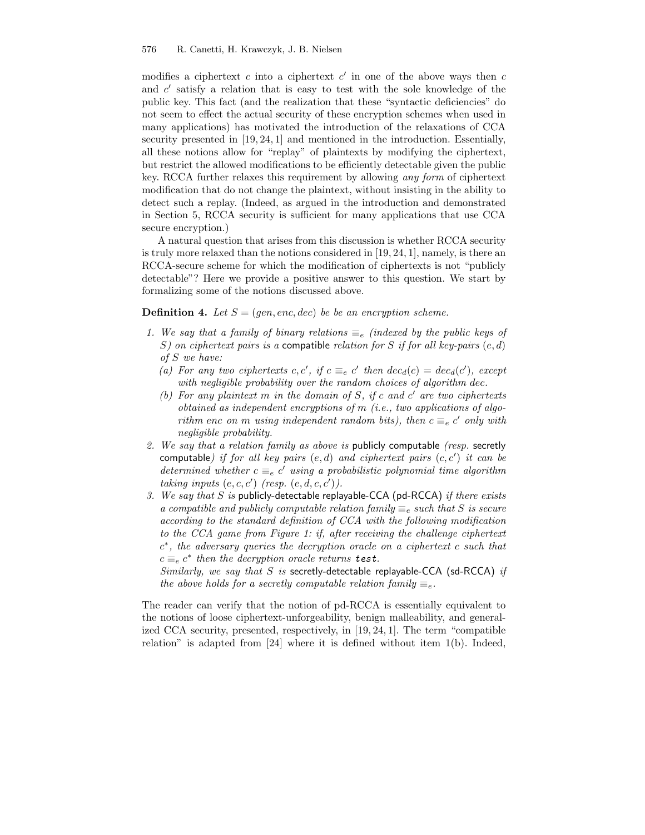modifies a ciphertext  $c$  into a ciphertext  $c'$  in one of the above ways then  $c$ and  $c'$  satisfy a relation that is easy to test with the sole knowledge of the public key. This fact (and the realization that these "syntactic deficiencies" do not seem to effect the actual security of these encryption schemes when used in many applications) has motivated the introduction of the relaxations of CCA security presented in  $[19, 24, 1]$  and mentioned in the introduction. Essentially, all these notions allow for "replay" of plaintexts by modifying the ciphertext, but restrict the allowed modifications to be efficiently detectable given the public key. RCCA further relaxes this requirement by allowing any form of ciphertext modification that do not change the plaintext, without insisting in the ability to detect such a replay. (Indeed, as argued in the introduction and demonstrated in Section 5, RCCA security is sufficient for many applications that use CCA secure encryption.)

A natural question that arises from this discussion is whether RCCA security is truly more relaxed than the notions considered in [19, 24, 1], namely, is there an RCCA-secure scheme for which the modification of ciphertexts is not "publicly detectable"? Here we provide a positive answer to this question. We start by formalizing some of the notions discussed above.

**Definition 4.** Let  $S = (gen, enc, dec)$  be be an encryption scheme.

- 1. We say that a family of binary relations  $\equiv_e$  (indexed by the public keys of S) on ciphertext pairs is a compatible relation for S if for all key-pairs  $(e,d)$ of S we have:
	- (a) For any two ciphertexts c, c', if  $c \equiv_e c'$  then  $dec_d(c) = dec_d(c')$ , except with negligible probability over the random choices of algorithm dec.
	- (b) For any plaintext  $m$  in the domain of  $S$ , if  $c$  and  $c'$  are two ciphertexts obtained as independent encryptions of m (i.e., two applications of algorithm enc on m using independent random bits), then  $c \equiv_e c'$  only with negligible probability.
- 2. We say that a relation family as above is publicly computable (resp. secretly computable) if for all key pairs  $(e,d)$  and ciphertext pairs  $(c, c')$  it can be determined whether  $c \equiv_e c'$  using a probabilistic polynomial time algorithm taking inputs  $(e, c, c')$  (resp.  $(e, d, c, c')$ ).
- 3. We say that  $S$  is publicly-detectable replayable-CCA (pd-RCCA) if there exists a compatible and publicly computable relation family  $\equiv_e$  such that S is secure according to the standard definition of CCA with the following modification to the CCA game from Figure 1: if, after receiving the challenge ciphertext c ∗ , the adversary queries the decryption oracle on a ciphertext c such that  $c \equiv_e c^*$  then the decryption oracle returns test.

Similarly, we say that S is secretly-detectable replayable-CCA (sd-RCCA) if the above holds for a secretly computable relation family  $\equiv_e$ .

The reader can verify that the notion of pd-RCCA is essentially equivalent to the notions of loose ciphertext-unforgeability, benign malleability, and generalized CCA security, presented, respectively, in [19, 24, 1]. The term "compatible relation" is adapted from [24] where it is defined without item 1(b). Indeed,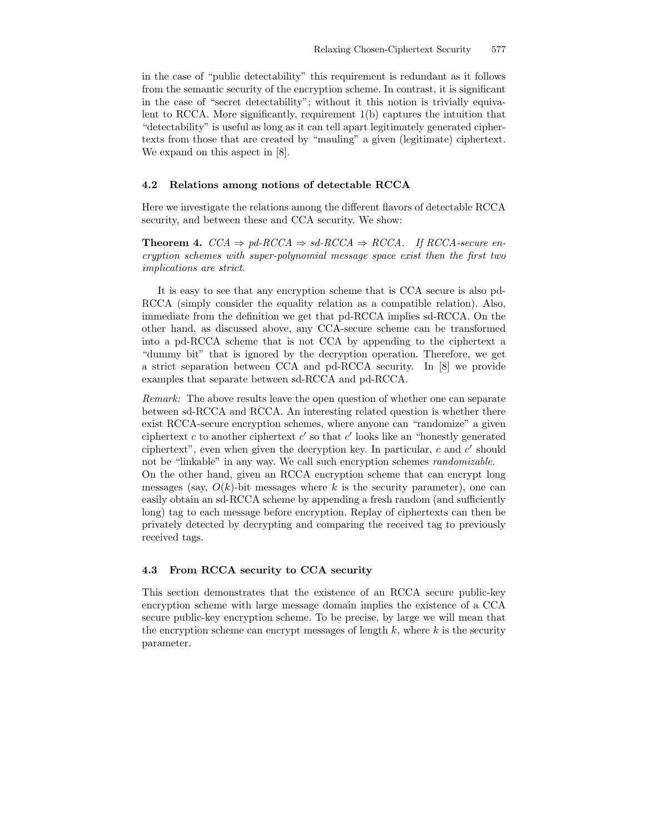in the case of "public detectability" this requirement is redundant as it follows from the semantic security of the encryption scheme. In contrast, it is significant in the case of "secret detectability"; without it this notion is trivially equivalent to RCCA. More significantly, requirement 1(b) captures the intuition that "detectability" is useful as long as it can tell apart legitimately generated ciphertexts from those that are created by "mauling" a given (legitimate) ciphertext. We expand on this aspect in [8].

#### 4.2 Relations among notions of detectable RCCA

Here we investigate the relations among the different flavors of detectable RCCA security, and between these and CCA security. We show:

**Theorem 4.**  $CCA \Rightarrow pd-RCCA \Rightarrow sd-RCCA \Rightarrow RCCA$ . If RCCA-secure encryption schemes with super-polynomial message space exist then the first two implications are strict.

It is easy to see that any encryption scheme that is CCA secure is also pd-RCCA (simply consider the equality relation as a compatible relation). Also, immediate from the definition we get that pd-RCCA implies sd-RCCA. On the other hand, as discussed above, any CCA-secure scheme can be transformed into a pd-RCCA scheme that is not CCA by appending to the ciphertext a "dummy bit" that is ignored by the decryption operation. Therefore, we get a strict separation between CCA and pd-RCCA security. In [8] we provide examples that separate between sd-RCCA and pd-RCCA.

Remark: The above results leave the open question of whether one can separate between sd-RCCA and RCCA. An interesting related question is whether there exist RCCA-secure encryption schemes, where anyone can "randomize" a given ciphertext  $c$  to another ciphertext  $c'$  so that  $c'$  looks like an "honestly generated ciphertext", even when given the decryption key. In particular,  $c$  and  $c'$  should not be "linkable" in any way. We call such encryption schemes *randomizable*. On the other hand, given an RCCA encryption scheme that can encrypt long

messages (say,  $O(k)$ -bit messages where k is the security parameter), one can easily obtain an sd-RCCA scheme by appending a fresh random (and sufficiently long) tag to each message before encryption. Replay of ciphertexts can then be privately detected by decrypting and comparing the received tag to previously received tags.

## 4.3 From RCCA security to CCA security

This section demonstrates that the existence of an RCCA secure public-key encryption scheme with large message domain implies the existence of a CCA secure public-key encryption scheme. To be precise, by large we will mean that the encryption scheme can encrypt messages of length  $k$ , where  $k$  is the security parameter.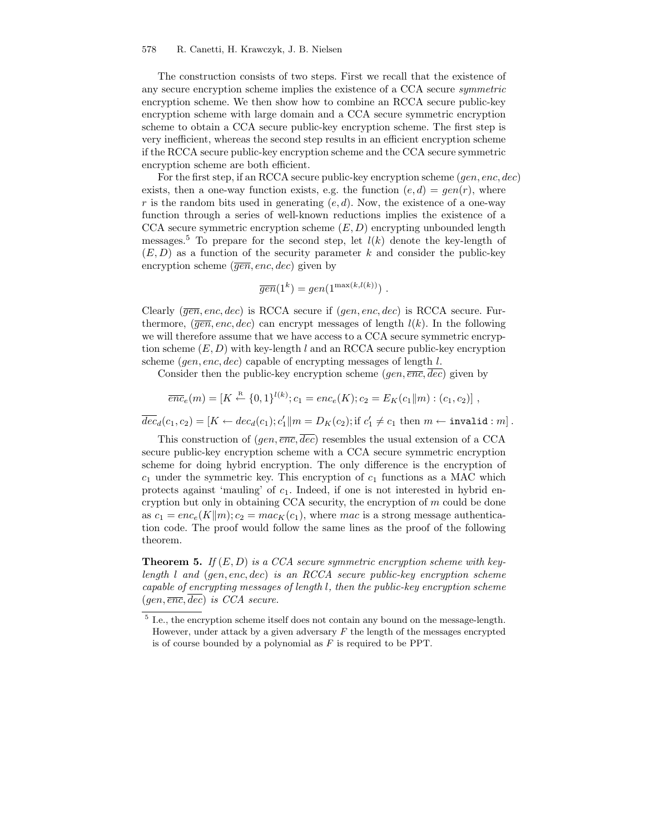#### 578 R. Canetti, H. Krawczyk, J. B. Nielsen

The construction consists of two steps. First we recall that the existence of any secure encryption scheme implies the existence of a CCA secure symmetric encryption scheme. We then show how to combine an RCCA secure public-key encryption scheme with large domain and a CCA secure symmetric encryption scheme to obtain a CCA secure public-key encryption scheme. The first step is very inefficient, whereas the second step results in an efficient encryption scheme if the RCCA secure public-key encryption scheme and the CCA secure symmetric encryption scheme are both efficient.

For the first step, if an RCCA secure public-key encryption scheme (gen, enc, dec) exists, then a one-way function exists, e.g. the function  $(e, d) = gen(r)$ , where r is the random bits used in generating  $(e, d)$ . Now, the existence of a one-way function through a series of well-known reductions implies the existence of a CCA secure symmetric encryption scheme  $(E, D)$  encrypting unbounded length messages.<sup>5</sup> To prepare for the second step, let  $l(k)$  denote the key-length of  $(E, D)$  as a function of the security parameter k and consider the public-key encryption scheme  $(\overline{gen}, enc, dec)$  given by

$$
\overline{gen}(1^k) = gen(1^{\max(k,l(k))}).
$$

Clearly  $(\overline{gen}, enc, dec)$  is RCCA secure if  $(gen, enc, dec)$  is RCCA secure. Furthermore,  $(\overline{gen}, enc, dec)$  can encrypt messages of length  $l(k)$ . In the following we will therefore assume that we have access to a CCA secure symmetric encryption scheme  $(E, D)$  with key-length l and an RCCA secure public-key encryption scheme (gen, enc, dec) capable of encrypting messages of length l.

Consider then the public-key encryption scheme  $(qen, \overline{enc}, \overline{dec})$  given by

$$
\overline{enc}_e(m) = [K \stackrel{\text{R}}{\leftarrow} \{0,1\}^{l(k)}; c_1 = enc_e(K); c_2 = E_K(c_1||m) : (c_1, c_2)],
$$

 $\overline{dec}_d(c_1, c_2) = [K \leftarrow dec_d(c_1); c'_1 || m = D_K(c_2); \text{if } c'_1 \neq c_1 \text{ then } m \leftarrow \texttt{invalid}: m]$ .

This construction of  $(qen, \overline{enc}, \overline{dec})$  resembles the usual extension of a CCA secure public-key encryption scheme with a CCA secure symmetric encryption scheme for doing hybrid encryption. The only difference is the encryption of  $c_1$  under the symmetric key. This encryption of  $c_1$  functions as a MAC which protects against 'mauling' of  $c_1$ . Indeed, if one is not interested in hybrid encryption but only in obtaining CCA security, the encryption of m could be done as  $c_1 = enc_e(K||m); c_2 = mac_K(c_1)$ , where mac is a strong message authentication code. The proof would follow the same lines as the proof of the following theorem.

**Theorem 5.** If  $(E, D)$  is a CCA secure symmetric encryption scheme with keylength l and (gen, enc, dec) is an RCCA secure public-key encryption scheme capable of encrypting messages of length l, then the public-key encryption scheme  $(qen, \overline{enc}, dec)$  is CCA secure.

<sup>5</sup> I.e., the encryption scheme itself does not contain any bound on the message-length. However, under attack by a given adversary  $F$  the length of the messages encrypted is of course bounded by a polynomial as  $F$  is required to be PPT.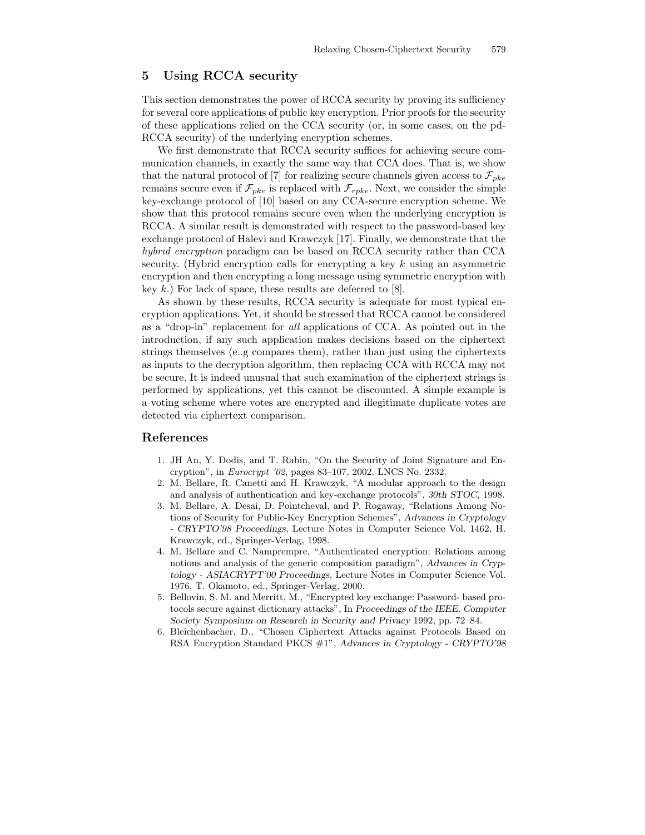## 5 Using RCCA security

This section demonstrates the power of RCCA security by proving its sufficiency for several core applications of public key encryption. Prior proofs for the security of these applications relied on the CCA security (or, in some cases, on the pd-RCCA security) of the underlying encryption schemes.

We first demonstrate that RCCA security suffices for achieving secure communication channels, in exactly the same way that CCA does. That is, we show that the natural protocol of [7] for realizing secure channels given access to  $\mathcal{F}_{pke}$ remains secure even if  $\mathcal{F}_{pke}$  is replaced with  $\mathcal{F}_{rpke}$ . Next, we consider the simple key-exchange protocol of [10] based on any CCA-secure encryption scheme. We show that this protocol remains secure even when the underlying encryption is RCCA. A similar result is demonstrated with respect to the password-based key exchange protocol of Halevi and Krawczyk [17]. Finally, we demonstrate that the hybrid encryption paradigm can be based on RCCA security rather than CCA security. (Hybrid encryption calls for encrypting a key  $k$  using an asymmetric encryption and then encrypting a long message using symmetric encryption with key  $k$ .) For lack of space, these results are deferred to [8].

As shown by these results, RCCA security is adequate for most typical encryption applications. Yet, it should be stressed that RCCA cannot be considered as a "drop-in" replacement for all applications of CCA. As pointed out in the introduction, if any such application makes decisions based on the ciphertext strings themselves (e..g compares them), rather than just using the ciphertexts as inputs to the decryption algorithm, then replacing CCA with RCCA may not be secure. It is indeed unusual that such examination of the ciphertext strings is performed by applications, yet this cannot be discounted. A simple example is a voting scheme where votes are encrypted and illegitimate duplicate votes are detected via ciphertext comparison.

## References

- 1. JH An, Y. Dodis, and T. Rabin, "On the Security of Joint Signature and Encryption", in Eurocrypt '02, pages 83–107, 2002. LNCS No. 2332.
- 2. M. Bellare, R. Canetti and H. Krawczyk, "A modular approach to the design and analysis of authentication and key-exchange protocols", 30th STOC, 1998.
- 3. M. Bellare, A. Desai, D. Pointcheval, and P. Rogaway, "Relations Among Notions of Security for Public-Key Encryption Schemes", Advances in Cryptology - CRYPTO'98 Proceedings, Lecture Notes in Computer Science Vol. 1462, H. Krawczyk, ed., Springer-Verlag, 1998.
- 4. M. Bellare and C. Namprempre, "Authenticated encryption: Relations among notions and analysis of the generic composition paradigm", Advances in Cryptology - ASIACRYPT'00 Proceedings, Lecture Notes in Computer Science Vol. 1976, T. Okamoto, ed., Springer-Verlag, 2000.
- 5. Bellovin, S. M. and Merritt, M., "Encrypted key exchange: Password- based protocols secure against dictionary attacks", In Proceedings of the IEEE. Computer Society Symposium on Research in Security and Privacy 1992, pp. 72–84.
- 6. Bleichenbacher, D., "Chosen Ciphertext Attacks against Protocols Based on RSA Encryption Standard PKCS #1", Advances in Cryptology - CRYPTO'98